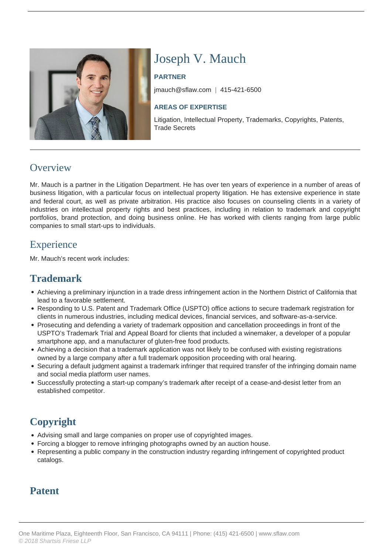

# Joseph V. Mauch

#### **PARTNER**

jmauch@sflaw.com | 415-421-6500

#### **AREAS OF EXPERTISE**

Litigation, Intellectual Property, Trademarks, Copyrights, Patents, Trade Secrets

### **Overview**

Mr. Mauch is a partner in the Litigation Department. He has over ten years of experience in a number of areas of business litigation, with a particular focus on intellectual property litigation. He has extensive experience in state and federal court, as well as private arbitration. His practice also focuses on counseling clients in a variety of industries on intellectual property rights and best practices, including in relation to trademark and copyright portfolios, brand protection, and doing business online. He has worked with clients ranging from large public companies to small start-ups to individuals.

## **Experience**

Mr. Mauch's recent work includes:

# **Trademark**

- Achieving a preliminary injunction in a trade dress infringement action in the Northern District of California that lead to a favorable settlement.
- Responding to U.S. Patent and Trademark Office (USPTO) office actions to secure trademark registration for clients in numerous industries, including medical devices, financial services, and software-as-a-service.
- Prosecuting and defending a variety of trademark opposition and cancellation proceedings in front of the USPTO's Trademark Trial and Appeal Board for clients that included a winemaker, a developer of a popular smartphone app, and a manufacturer of gluten-free food products.
- Achieving a decision that a trademark application was not likely to be confused with existing registrations owned by a large company after a full trademark opposition proceeding with oral hearing.
- Securing a default judgment against a trademark infringer that required transfer of the infringing domain name and social media platform user names.
- Successfully protecting a start-up company's trademark after receipt of a cease-and-desist letter from an established competitor.

# **Copyright**

- Advising small and large companies on proper use of copyrighted images.
- Forcing a blogger to remove infringing photographs owned by an auction house.
- Representing a public company in the construction industry regarding infringement of copyrighted product catalogs.

## **Patent**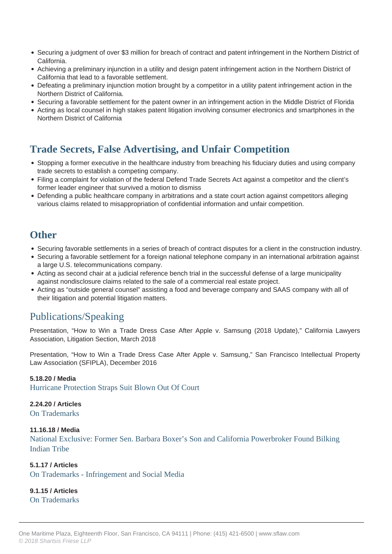- Securing a judgment of over \$3 million for breach of contract and patent infringement in the Northern District of California.
- Achieving a preliminary injunction in a utility and design patent infringement action in the Northern District of California that lead to a favorable settlement.
- Defeating a preliminary injunction motion brought by a competitor in a utility patent infringement action in the Northern District of California.
- Securing a favorable settlement for the patent owner in an infringement action in the Middle District of Florida
- Acting as local counsel in high stakes patent litigation involving consumer electronics and smartphones in the Northern District of California

### **Trade Secrets, False Advertising, and Unfair Competition**

- Stopping a former executive in the healthcare industry from breaching his fiduciary duties and using company trade secrets to establish a competing company.
- Filing a complaint for violation of the federal Defend Trade Secrets Act against a competitor and the client's former leader engineer that survived a motion to dismiss
- Defending a public healthcare company in arbitrations and a state court action against competitors alleging various claims related to misappropriation of confidential information and unfair competition.

### **Other**

- Securing favorable settlements in a series of breach of contract disputes for a client in the construction industry.
- Securing a favorable settlement for a foreign national telephone company in an international arbitration against a large U.S. telecommunications company.
- Acting as second chair at a judicial reference bench trial in the successful defense of a large municipality against nondisclosure claims related to the sale of a commercial real estate project.
- Acting as "outside general counsel" assisting a food and beverage company and SAAS company with all of their litigation and potential litigation matters.

# Publications/Speaking

Presentation, "How to Win a Trade Dress Case After Apple v. Samsung (2018 Update)," California Lawyers Association, Litigation Section, March 2018

Presentation, "How to Win a Trade Dress Case After Apple v. Samsung," San Francisco Intellectual Property Law Association (SFIPLA), December 2016

#### **5.18.20 / Media**

Hurricane Protection Straps Suit Blown Out Of Court

#### **2.24.20 / Articles**

On Trademarks

#### **11.16.18 / Media**

 National Exclusive: Former Sen. Barbara Boxer's Son and California Powerbroker Found Bilking Indian Tribe

#### **5.1.17 / Articles**

On Trademarks - Infringement and Social Media

**9.1.15 / Articles**

On Trademarks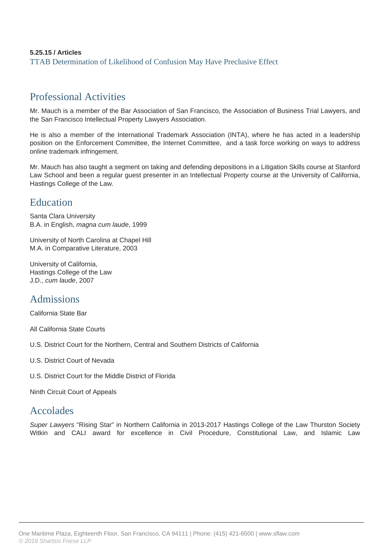#### **5.25.15 / Articles** TTAB Determination of Likelihood of Confusion May Have Preclusive Effect

# Professional Activities

Mr. Mauch is a member of the Bar Association of San Francisco, the Association of Business Trial Lawyers, and the San Francisco Intellectual Property Lawyers Association.

He is also a member of the International Trademark Association (INTA), where he has acted in a leadership position on the Enforcement Committee, the Internet Committee, and a task force working on ways to address online trademark infringement.

Mr. Mauch has also taught a segment on taking and defending depositions in a Litigation Skills course at Stanford Law School and been a regular guest presenter in an Intellectual Property course at the University of California, Hastings College of the Law.

### Education

Santa Clara University B.A. in English, magna cum laude, 1999

University of North Carolina at Chapel Hill M.A. in Comparative Literature, 2003

University of California, Hastings College of the Law J.D., cum laude, 2007

## Admissions

California State Bar

All California State Courts

U.S. District Court for the Northern, Central and Southern Districts of California

U.S. District Court of Nevada

U.S. District Court for the Middle District of Florida

Ninth Circuit Court of Appeals

### Accolades

Super Lawyers "Rising Star" in Northern California in 2013-2017 Hastings College of the Law Thurston Society Witkin and CALI award for excellence in Civil Procedure, Constitutional Law, and Islamic Law